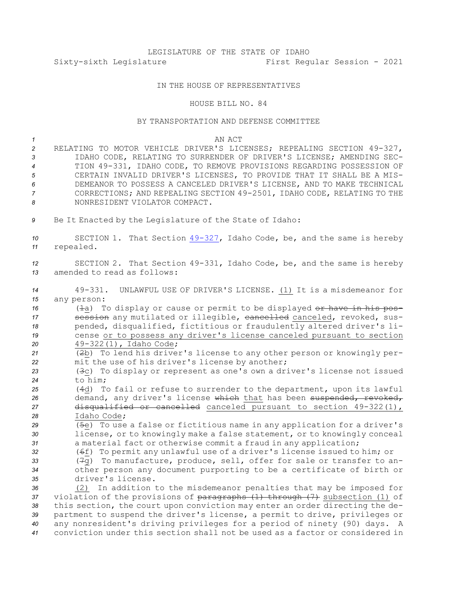# LEGISLATURE OF THE STATE OF IDAHO Sixty-sixth Legislature First Regular Session - 2021

## IN THE HOUSE OF REPRESENTATIVES

### HOUSE BILL NO. 84

## BY TRANSPORTATION AND DEFENSE COMMITTEE

#### *1* AN ACT

 RELATING TO MOTOR VEHICLE DRIVER'S LICENSES; REPEALING SECTION 49-327, IDAHO CODE, RELATING TO SURRENDER OF DRIVER'S LICENSE; AMENDING SEC- TION 49-331, IDAHO CODE, TO REMOVE PROVISIONS REGARDING POSSESSION OF CERTAIN INVALID DRIVER'S LICENSES, TO PROVIDE THAT IT SHALL BE A MIS- DEMEANOR TO POSSESS A CANCELED DRIVER'S LICENSE, AND TO MAKE TECHNICAL CORRECTIONS; AND REPEALING SECTION 49-2501, IDAHO CODE, RELATING TO THE NONRESIDENT VIOLATOR COMPACT.

*<sup>9</sup>* Be It Enacted by the Legislature of the State of Idaho:

*<sup>10</sup>* SECTION 1. That Section [49-327](https://legislature.idaho.gov/statutesrules/idstat/Title49/T49CH3/SECT49-327), Idaho Code, be, and the same is hereby *<sup>11</sup>* repealed.

*<sup>12</sup>* SECTION 2. That Section 49-331, Idaho Code, be, and the same is hereby *13* amended to read as follows:

*<sup>14</sup>* 49-331. UNLAWFUL USE OF DRIVER'S LICENSE. (1) It is <sup>a</sup> misdemeanor for *15* any person:

16 (<del>1</del>a) To display or cause or permit to be displayed or have in his pos-**session** any mutilated or illegible, eancelled canceled, revoked, sus- pended, disqualified, fictitious or fraudulently altered driver's li- cense or to possess any driver's license canceled pursuant to section 49-322(1), Idaho Code;

*<sup>21</sup>* (2b) To lend his driver's license to any other person or knowingly per-*<sup>22</sup>* mit the use of his driver's license by another;

*<sup>23</sup>* (3c) To display or represent as one's own <sup>a</sup> driver's license not issued *24* to him;

 (4d) To fail or refuse to surrender to the department, upon its lawful 26 demand, any driver's license which that has been suspended, revoked, disqualified or cancelled canceled pursuant to section 49-322(1), Idaho Code;

*<sup>29</sup>* (5e) To use <sup>a</sup> false or fictitious name in any application for <sup>a</sup> driver's *<sup>30</sup>* license, or to knowingly make <sup>a</sup> false statement, or to knowingly conceal *<sup>31</sup>* <sup>a</sup> material fact or otherwise commit <sup>a</sup> fraud in any application;

 (6f) To permit any unlawful use of <sup>a</sup> driver's license issued to him; or (7g) To manufacture, produce, sell, offer for sale or transfer to an- other person any document purporting to be <sup>a</sup> certificate of birth or driver's license.

 (2) In addition to the misdemeanor penalties that may be imposed for 37 violation of the provisions of paragraphs (1) through (7) subsection (1) of this section, the court upon conviction may enter an order directing the de- partment to suspend the driver's license, <sup>a</sup> permit to drive, privileges or any nonresident's driving privileges for <sup>a</sup> period of ninety (90) days. <sup>A</sup> conviction under this section shall not be used as <sup>a</sup> factor or considered in